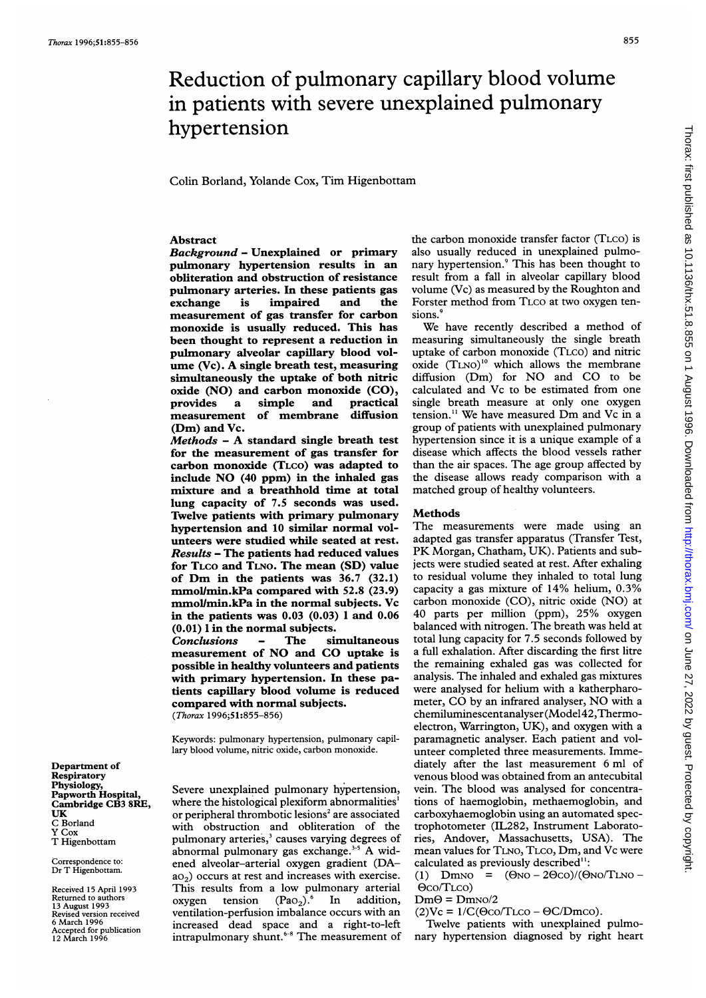Department of Respiratory

Correspondence to: Dr T Higenbottam. Received 15 April 1993 Returned to authors 13 August 1993 Revised version received 6 March 1996 Accepted for publication 12 March 1996

UK C Borland Y Cox T Higenbottam

Physiology, Papworth Hospital, Cambridge CB3 8RE,

# Reduction of pulmonary capillary blood volume in patients with severe unexplained pulmonary hypertension

Colin Borland, Yolande Cox, Tim Higenbottam

## Abstract

Background - Unexplained or primary pulmonary hypertension results in an obliteration and obstruction of resistance pulmonary arteries. In these patients gas impaired measurement of gas transfer for carbon monoxide is usually reduced. This has been thought to represent a reduction in pulmonary alveolar capillary blood volume (Vc). A single breath test, measuring simultaneously the uptake of both nitric oxide (NO) and carbon monoxide (CO),<br>provides a simple and practical a simple and practical measurement of membrane diffusion (Dm) and Vc.

Methods - A standard single breath test for the measurement of gas transfer for carbon monoxide (TLCO) was adapted to include NO (40 ppm) in the inhaled gas mixture and a breathhold time at total lung capacity of 7.5 seconds was used. Twelve patients with primary pulmonary hypertension and 10 similar normal volunteers were studied while seated at rest. Results - The patients had reduced values for TLCO and TLNO. The mean (SD) value of Dm in the patients was 36.7 (32.1) mmollmin.kPa compared with 52.8 (23.9) mmol/min.kPa in the normal subjects. Vc in the patients was  $0.03$   $(0.03)$  1 and  $0.06$ (0.01) <sup>1</sup> in the normal subjects.

Conclusions - The simultaneous measurement of NO and CO uptake is possible in healthy volunteers and patients with primary hypertension. In these patients capillary blood volume is reduced compared with normal subjects. (Thorax 1996;51:855-856)

Keywords: pulmonary hypertension, pulmonary capillary blood volume, nitric oxide, carbon monoxide.

Severe unexplained pulmonary hypertension, where the histological plexiform abnormalities' or peripheral thrombotic lesions<sup>2</sup> are associated with obstruction and obliteration of the pulmonary arteries,<sup>3</sup> causes varying degrees of abnormal pulmonary gas exchange.<sup>3-5</sup> A widened alveolar-arterial oxygen gradient (DA $a_2$ ) occurs at rest and increases with exercise. This results from a low pulmonary arterial oxygen tension  $(Pao<sub>2</sub>)$ .<sup>6</sup> In addition, ventilation-perfusion imbalance occurs with an increased dead space and a right-to-left intrapulmonary shunt.<sup>6-8</sup> The measurement of the carbon monoxide transfer factor (TLCO) is also usually reduced in unexplained pulmonary hypertension.<sup>9</sup> This has been thought to result from a fall in alveolar capillary blood volume (Vc) as measured by the Roughton and Forster method from TLCO at two oxygen tensions.'

We have recently described <sup>a</sup> method of measuring simultaneously the single breath uptake of carbon monoxide (TLCo) and nitric oxide (TLNO)<sup>10</sup> which allows the membrane diffusion (Dm) for NO and CO to be calculated and Vc to be estimated from one single breath measure at only one oxygen tension." We have measured Dm and Vc in <sup>a</sup> group of patients with unexplained pulmonary hypertension since it is a unique example of a disease which affects the blood vessels rather than the air spaces. The age group affected by the disease allows ready comparison with a matched group of healthy volunteers.

#### **Methods**

The measurements were made using an adapted gas transfer apparatus (Transfer Test, PK Morgan, Chatham, UK). Patients and subjects were studied seated at rest. After exhaling to residual volume they inhaled to total lung capacity <sup>a</sup> gas mixture of 14% helium, 0.3% carbon monoxide (CO), nitric oxide (NO) at 40 parts per million (ppm), 25% oxygen balanced with nitrogen. The breath was held at total lung capacity for 7.5 seconds followed by a full exhalation. After discarding the first litre the remaining exhaled gas was collected for analysis. The inhaled and exhaled gas mixtures were analysed for helium with a katherpharometer, CO by an infrared analyser, NO with <sup>a</sup> chemiluminescentanalyser(Model42,Thermoelectron, Warrington, UK), and oxygen with a paramagnetic analyser. Each patient and volunteer completed three measurements. Immediately after the last measurement 6 ml of venous blood was obtained from an antecubital vein. The blood was analysed for concentrations of haemoglobin, methaemoglobin, and carboxyhaemoglobin using an automated spectrophotometer (IL282, Instrument Laboratories, Andover, Massachusetts, USA). The mean values for TLNo, TLCO, Dm, and Vc were calculated as previously described":

(1)  $Dmno = (\Theta no - 2\Theta co)/(\Theta no/TLno -$ Oco/TLco)

- $Dm\Theta = DmN^2$
- $(2)$ Vc =  $1/C$ ( $\Theta$ co/TLco  $\Theta$ C/Dmco).

Twelve patients with unexplained pulmonary hypertension diagnosed by right heart